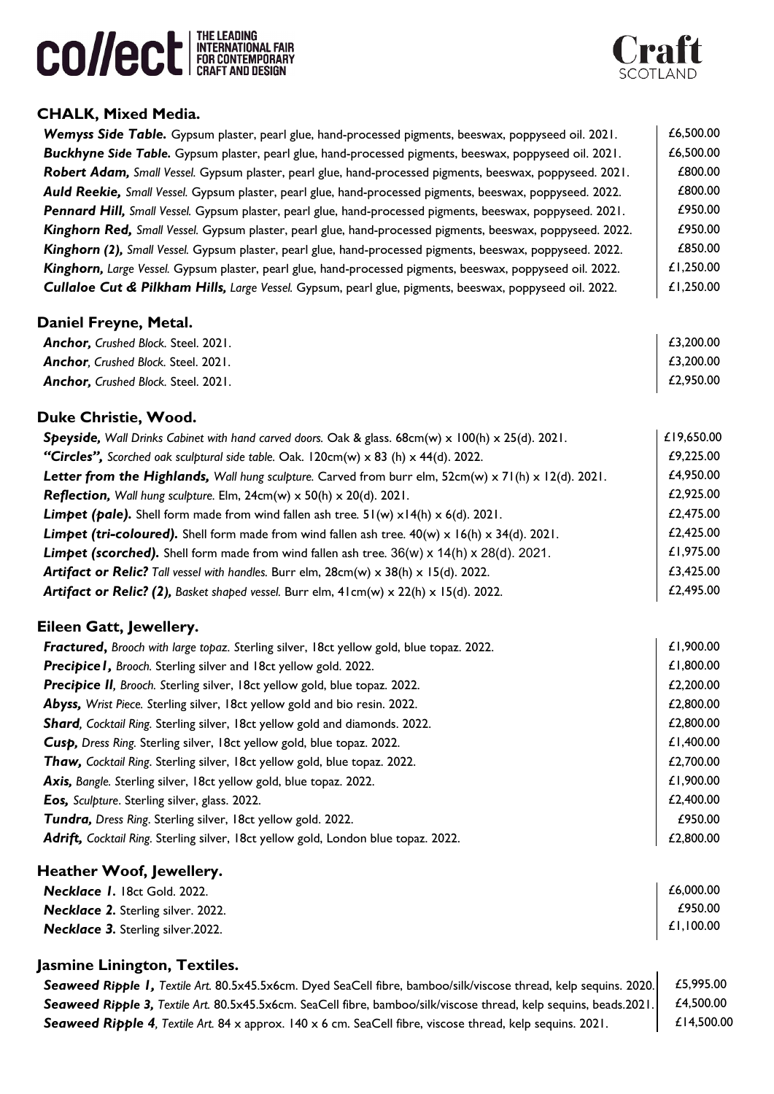



## **CHALK, Mixed Media.**

| Wemyss Side Table. Gypsum plaster, pearl glue, hand-processed pigments, beeswax, poppyseed oil. 2021.              | £6,500.00  |
|--------------------------------------------------------------------------------------------------------------------|------------|
| Buckhyne Side Table. Gypsum plaster, pearl glue, hand-processed pigments, beeswax, poppyseed oil. 2021.            | £6,500.00  |
| Robert Adam, Small Vessel. Gypsum plaster, pearl glue, hand-processed pigments, beeswax, poppyseed. 2021.          | £800.00    |
| Auld Reekie, Small Vessel. Gypsum plaster, pearl glue, hand-processed pigments, beeswax, poppyseed. 2022.          | £800.00    |
| Pennard Hill, Small Vessel. Gypsum plaster, pearl glue, hand-processed pigments, beeswax, poppyseed. 2021.         | £950.00    |
| Kinghorn Red, Small Vessel. Gypsum plaster, pearl glue, hand-processed pigments, beeswax, poppyseed. 2022.         | £950.00    |
| Kinghorn (2), Small Vessel. Gypsum plaster, pearl glue, hand-processed pigments, beeswax, poppyseed. 2022.         | £850.00    |
| Kinghorn, Large Vessel. Gypsum plaster, pearl glue, hand-processed pigments, beeswax, poppyseed oil. 2022.         | £1,250.00  |
| Cullaloe Cut & Pilkham Hills, Large Vessel. Gypsum, pearl glue, pigments, beeswax, poppyseed oil. 2022.            | £1,250.00  |
| Daniel Freyne, Metal.                                                                                              |            |
| Anchor, Crushed Block. Steel. 2021.                                                                                | £3,200.00  |
| Anchor, Crushed Block. Steel. 2021.                                                                                | £3,200.00  |
| Anchor, Crushed Block. Steel. 2021.                                                                                | £2,950.00  |
| Duke Christie, Wood.                                                                                               |            |
| Speyside, Wall Drinks Cabinet with hand carved doors. Oak & glass. $68cm(w) \times 100(h) \times 25(d)$ . 2021.    | £19,650.00 |
| "Circles", Scorched oak sculptural side table. Oak. 120cm(w) x 83 (h) x 44(d). 2022.                               | £9,225.00  |
| Letter from the Highlands, Wall hung sculpture. Carved from burr elm, $52cm(w) \times 71(h) \times 12(d)$ . 2021.  | £4,950.00  |
| <b>Reflection,</b> Wall hung sculpture. Elm, $24cm(w) \times 50(h) \times 20(d)$ . 2021.                           | £2,925.00  |
| <b>Limpet (pale).</b> Shell form made from wind fallen ash tree. $51(w) \times 14(h) \times 6(d)$ . 2021.          | £2,475.00  |
| <b>Limpet (tri-coloured).</b> Shell form made from wind fallen ash tree. $40(w) \times 16(h) \times 34(d)$ . 2021. | £2,425.00  |
| <b>Limpet (scorched).</b> Shell form made from wind fallen ash tree. $36(w) \times 14(h) \times 28(d)$ . 2021.     | £1,975.00  |
| <b>Artifact or Relic?</b> Tall vessel with handles. Burr elm, $28cm(w) \times 38(h) \times 15(d)$ . 2022.          | £3,425.00  |
| <b>Artifact or Relic? (2),</b> Basket shaped vessel. Burr elm, $41cm(w) \times 22(h) \times 15(d)$ . 2022.         | £2,495.00  |
| Eileen Gatt, Jewellery.                                                                                            |            |
| Fractured, Brooch with large topaz. Sterling silver, 18ct yellow gold, blue topaz. 2022.                           | £1,900.00  |
| Precipice I, Brooch. Sterling silver and 18ct yellow gold. 2022.                                                   | £1,800.00  |
| Precipice II, Brooch. Sterling silver, 18ct yellow gold, blue topaz. 2022.                                         | £2,200.00  |
| Abyss, Wrist Piece. Sterling silver, 18ct yellow gold and bio resin. 2022.                                         | £2,800.00  |
| Shard, Cocktail Ring. Sterling silver, 18ct yellow gold and diamonds. 2022.                                        | £2,800.00  |
| Cusp, Dress Ring. Sterling silver, 18ct yellow gold, blue topaz. 2022.                                             | £1,400.00  |
| Thaw, Cocktail Ring. Sterling silver, 18ct yellow gold, blue topaz. 2022.                                          | £2,700.00  |
| Axis, Bangle. Sterling silver, 18ct yellow gold, blue topaz. 2022.                                                 | £1,900.00  |
| Eos, Sculpture. Sterling silver, glass. 2022.                                                                      | £2,400.00  |
| Tundra, Dress Ring. Sterling silver, 18ct yellow gold. 2022.                                                       | £950.00    |
| Adrift, Cocktail Ring. Sterling silver, 18ct yellow gold, London blue topaz. 2022.                                 | £2,800.00  |

#### **Heather Woof, Jewellery.**

| Necklace 1. 18ct Gold. 2022.              | £6,000.00 |
|-------------------------------------------|-----------|
| <b>Necklace 2.</b> Sterling silver. 2022. | £950.00   |
| <b>Necklace 3. Sterling silver.2022.</b>  | £1,100.00 |

### **Jasmine Linington, Textiles.**

**Seaweed Ripple 1,** Textile Art. 80.5x45.5x6cm. Dyed SeaCell fibre, bamboo/silk/viscose thread, kelp sequins. 2020. £5,995.00 **Seaweed Ripple 3,** Textile Art. 80.5x45.5x6cm. SeaCell fibre, bamboo/silk/viscose thread, kelp sequins, beads.2021. *£4,500.00* **Seaweed Ripple 4**, Textile Art. 84 x approx. 140 x 6 cm. SeaCell fibre, viscose thread, kelp sequins. 2021. **El 4,500.00**